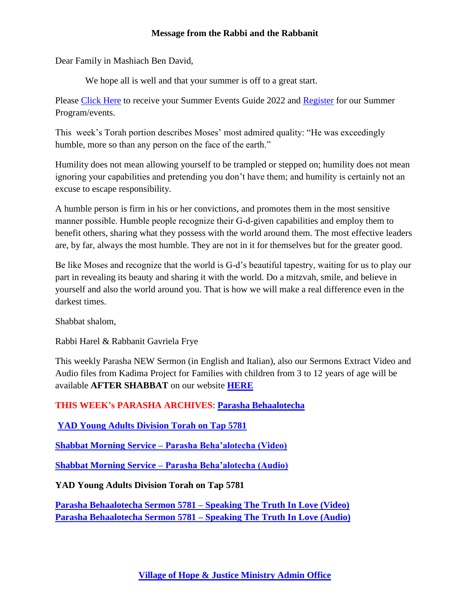## **Message from the Rabbi and the Rabbanit**

Dear Family in Mashiach Ben David,

We hope all is well and that your summer is off to a great start.

Please [Click Here](mailto:vohjm2013@gmail.com) to receive your Summer Events Guide 2022 and [Register](mailto:vohjm2013@gmail.com) for our Summer Program/events.

This week's Torah portion describes Moses' most admired quality: "He was exceedingly humble, more so than any person on the face of the earth."

Humility does not mean allowing yourself to be trampled or stepped on; humility does not mean ignoring your capabilities and pretending you don't have them; and humility is certainly not an excuse to escape responsibility.

A humble person is firm in his or her convictions, and promotes them in the most sensitive manner possible. Humble people recognize their G‑d-given capabilities and employ them to benefit others, sharing what they possess with the world around them. The most effective leaders are, by far, always the most humble. They are not in it for themselves but for the greater good.

Be like Moses and recognize that the world is G-d's beautiful tapestry, waiting for us to play our part in revealing its beauty and sharing it with the world. Do a mitzvah, smile, and believe in yourself and also the world around you. That is how we will make a real difference even in the darkest times.

Shabbat shalom,

Rabbi Harel & Rabbanit Gavriela Frye

This weekly Parasha NEW Sermon (in English and Italian), also our Sermons Extract Video and Audio files from Kadima Project for Families with children from 3 to 12 years of age will be available **AFTER SHABBAT** on our website **[HERE](https://villageofhopejusticeministry.org/sermoni-sermons/)**

**THIS WEEK's PARASHA ARCHIVES**: **[Parasha Behaalotecha](https://villageofhopejusticeministry.org/2018/06/02/torah-portion-behaalotcha-5778-porzione-di-torah-beha)**

**[YAD Young Adults Division Torah on Tap 5781](https://villageofhopejusticeministry.files.wordpress.com/2021/01/yad-torah-on-tap-english-and-tora-alla-spina-italian.pdf)**

**Shabbat Morning Service – [Parasha Beha'alotecha \(Video\)](https://youtu.be/1sIJsihcnCQ)**

**Shabbat Morning Service – [Parasha Beha'alotecha \(Audio\)](https://soundcloud.com/user-114005263/shabbat-morning-service-parasha-behaalotecha-5780)**

**YAD Young Adults Division Torah on Tap 5781** 

**[Parasha Behaalotecha Sermon 5781 –](https://youtu.be/LKt2Tb8gX7g) Speaking The Truth In Love (Video) [Parasha Behaalotecha Sermon 5781 –](https://soundcloud.com/user-114005263/parasha-behaalotecha-sermon-5781-speaking-the-truth-in-love) Speaking The Truth In Love (Audio)**